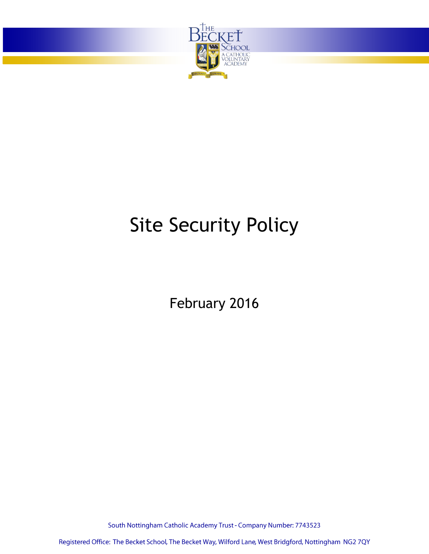

# Site Security Policy

February 2016

South Nottingham Catholic Academy Trust - Company Number: 7743523

Registered Office: The Becket School, The Becket Way, Wilford Lane, West Bridgford, Nottingham NG2 7QY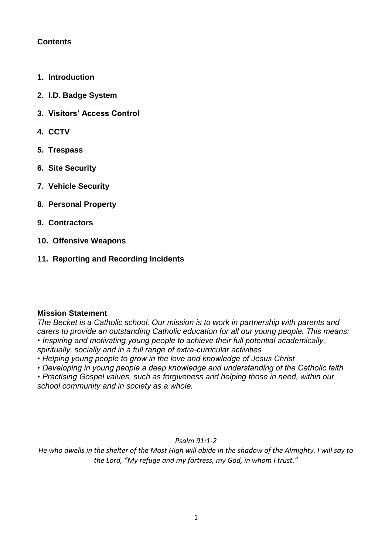# **Contents**

- **1. Introduction**
- **2. I.D. Badge System**
- **3. Visitors' Access Control**
- **4. CCTV**
- **5. Trespass**
- **6. Site Security**
- **7. Vehicle Security**
- **8. Personal Property**
- **9. Contractors**
- **10. Offensive Weapons**
- **11. Reporting and Recording Incidents**

# **Mission Statement**

*The Becket is a Catholic school. Our mission is to work in partnership with parents and carers to provide an outstanding Catholic education for all our young people. This means: • Inspiring and motivating young people to achieve their full potential academically, spiritually, socially and in a full range of extra-curricular activities*

- *Helping young people to grow in the love and knowledge of Jesus Christ*
- *Developing in young people a deep knowledge and understanding of the Catholic faith*

*• Practising Gospel values, such as forgiveness and helping those in need, within our school community and in society as a whole.*

*Psalm 91:1-2*

*He who dwells in the shelter of the Most High will abide in the shadow of the Almighty. I will say to the Lord, "My refuge and my fortress, my God, in whom I trust."*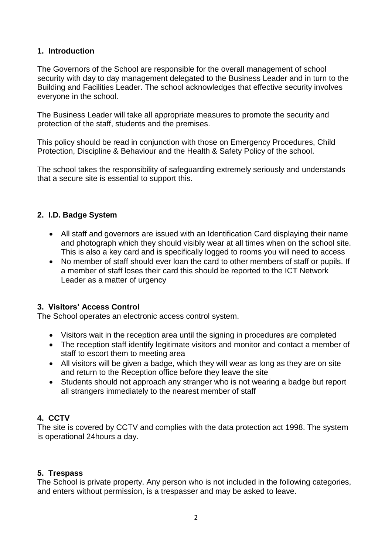### **1. Introduction**

The Governors of the School are responsible for the overall management of school security with day to day management delegated to the Business Leader and in turn to the Building and Facilities Leader. The school acknowledges that effective security involves everyone in the school.

The Business Leader will take all appropriate measures to promote the security and protection of the staff, students and the premises.

This policy should be read in conjunction with those on Emergency Procedures, Child Protection, Discipline & Behaviour and the Health & Safety Policy of the school.

The school takes the responsibility of safeguarding extremely seriously and understands that a secure site is essential to support this.

#### **2. I.D. Badge System**

- All staff and governors are issued with an Identification Card displaying their name and photograph which they should visibly wear at all times when on the school site. This is also a key card and is specifically logged to rooms you will need to access
- No member of staff should ever loan the card to other members of staff or pupils. If a member of staff loses their card this should be reported to the ICT Network Leader as a matter of urgency

# **3. Visitors' Access Control**

The School operates an electronic access control system.

- Visitors wait in the reception area until the signing in procedures are completed
- The reception staff identify legitimate visitors and monitor and contact a member of staff to escort them to meeting area
- All visitors will be given a badge, which they will wear as long as they are on site and return to the Reception office before they leave the site
- Students should not approach any stranger who is not wearing a badge but report all strangers immediately to the nearest member of staff

# **4. CCTV**

The site is covered by CCTV and complies with the data protection act 1998. The system is operational 24hours a day.

#### **5. Trespass**

The School is private property. Any person who is not included in the following categories, and enters without permission, is a trespasser and may be asked to leave.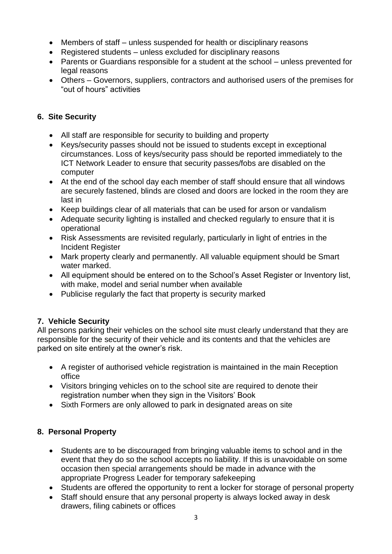- Members of staff unless suspended for health or disciplinary reasons
- Registered students unless excluded for disciplinary reasons
- Parents or Guardians responsible for a student at the school unless prevented for legal reasons
- Others Governors, suppliers, contractors and authorised users of the premises for "out of hours" activities

# **6. Site Security**

- All staff are responsible for security to building and property
- Keys/security passes should not be issued to students except in exceptional circumstances. Loss of keys/security pass should be reported immediately to the ICT Network Leader to ensure that security passes/fobs are disabled on the computer
- At the end of the school day each member of staff should ensure that all windows are securely fastened, blinds are closed and doors are locked in the room they are last in
- Keep buildings clear of all materials that can be used for arson or vandalism
- Adequate security lighting is installed and checked regularly to ensure that it is operational
- Risk Assessments are revisited regularly, particularly in light of entries in the Incident Register
- Mark property clearly and permanently. All valuable equipment should be Smart water marked.
- All equipment should be entered on to the School's Asset Register or Inventory list, with make, model and serial number when available
- Publicise regularly the fact that property is security marked

# **7. Vehicle Security**

All persons parking their vehicles on the school site must clearly understand that they are responsible for the security of their vehicle and its contents and that the vehicles are parked on site entirely at the owner's risk.

- A register of authorised vehicle registration is maintained in the main Reception office
- Visitors bringing vehicles on to the school site are required to denote their registration number when they sign in the Visitors' Book
- Sixth Formers are only allowed to park in designated areas on site

# **8. Personal Property**

- Students are to be discouraged from bringing valuable items to school and in the event that they do so the school accepts no liability. If this is unavoidable on some occasion then special arrangements should be made in advance with the appropriate Progress Leader for temporary safekeeping
- Students are offered the opportunity to rent a locker for storage of personal property
- Staff should ensure that any personal property is always locked away in desk drawers, filing cabinets or offices